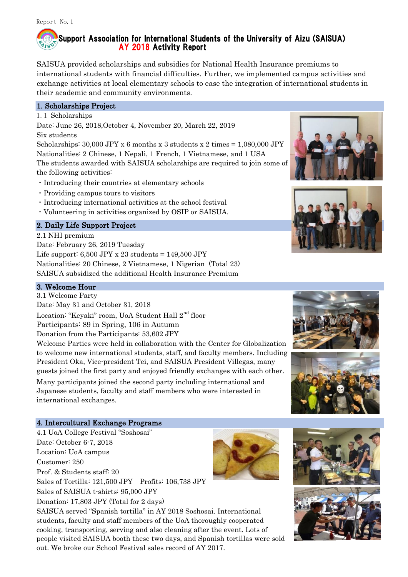# Support Association for International Students of the University of Aizu (SAISUA) AY 2018 Activity Report

SAISUA provided scholarships and subsidies for National Health Insurance premiums to international students with financial difficulties. Further, we implemented campus activities and exchange activities at local elementary schools to ease the integration of international students in their academic and community environments.

# 1. Scholarships Project

1.1 Scholarships

Date: June 26, 2018,October 4, November 20, March 22, 2019 Six students

Scholarships:  $30,000$  JPY x 6 months x 3 students x 2 times =  $1,080,000$  JPY Nationalities: 2 Chinese, 1 Nepali, 1 French, 1 Vietnamese, and 1 USA The students awarded with SAISUA scholarships are required to join some of the following activities:

- ・Introducing their countries at elementary schools
- ・Providing campus tours to visitors
- ・Introducing international activities at the school festival
- ・Volunteering in activities organized by OSIP or SAISUA.

# 2. Daily Life Support Project

2.1 NHI premium Date: February 26, 2019 Tuesday Life support:  $6,500$  JPY x 23 students = 149,500 JPY Nationalities: 20 Chinese, 2 Vietnamese, 1 Nigerian (Total 23) SAISUA subsidized the additional Health Insurance Premium

#### 3. Welcome Hour

3.1 Welcome Party

Date: May 31 and October 31, 2018

Location: "Keyaki" room, UoA Student Hall 2<sup>nd</sup> floor

Participants: 89 in Spring, 106 in Autumn

Donation from the Participants: 53,602 JPY

Welcome Parties were held in collaboration with the Center for Globalization to welcome new international students, staff, and faculty members. Including President Oka, Vice-president Tei, and SAISUA President Villegas, many guests joined the first party and enjoyed friendly exchanges with each other. Many participants joined the second party including international and Japanese students, faculty and staff members who were interested in international exchanges.

## 4. Intercultural Exchange Programs

4.1 UoA College Festival "Soshosai"

Date: October 6-7, 2018

Location: UoA campus Customer: 250 Prof. & Students staff: 20 Sales of Tortilla: 121,500 JPY Profits: 106,738 JPY Sales of SAISUA t-shirts: 95,000 JPY Donation: 17,803 JPY (Total for 2 days) SAISUA served "Spanish tortilla" in AY 2018 Soshosai. International students, faculty and staff members of the UoA thoroughly cooperated cooking, transporting, serving and also cleaning after the event. Lots of people visited SAISUA booth these two days, and Spanish tortillas were sold out. We broke our School Festival sales record of AY 2017.